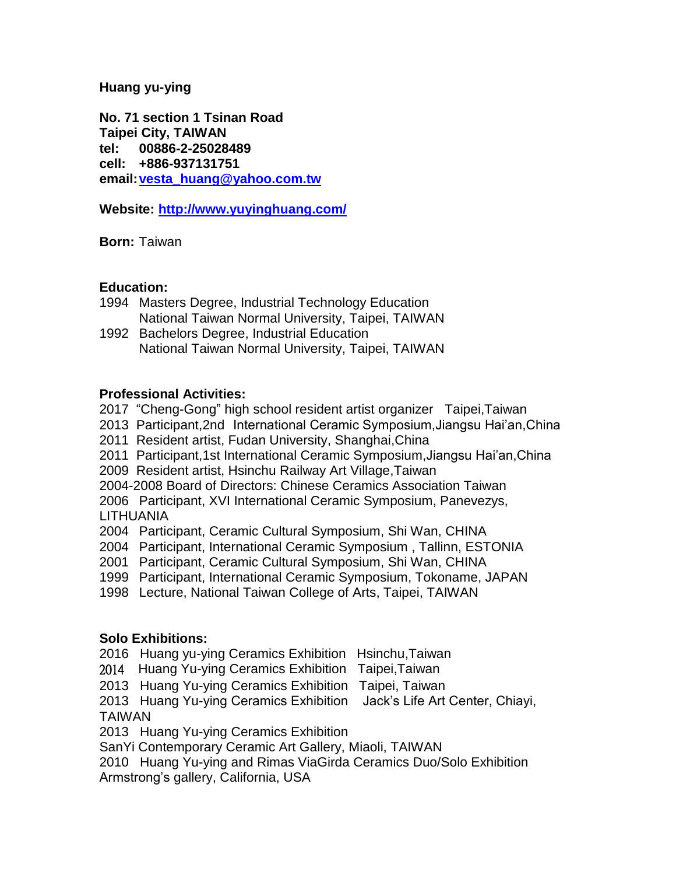## **Huang yu-ying**

**No. 71 section 1 Tsinan Road Taipei City, TAIWAN tel: 00886-2-25028489 cell: +886-937131751 email[:vesta\\_huang@yahoo.com.tw](mailto:vesta_huang@yahoo.com.tw)**

**Website: <http://www.yuyinghuang.com/>**

**Born:** Taiwan

## **Education:**

1994 Masters Degree, Industrial Technology Education National Taiwan Normal University, Taipei, TAIWAN

1992 Bachelors Degree, Industrial Education National Taiwan Normal University, Taipei, TAIWAN

# **Professional Activities:**

2017 "Cheng-Gong" high school resident artist organizer Taipei,Taiwan

2013 Participant,2nd International Ceramic Symposium,Jiangsu Hai'an,China

2011 Resident artist, Fudan University, Shanghai,China

2011 Participant,1st International Ceramic Symposium,Jiangsu Hai'an,China

2009 Resident artist, Hsinchu Railway Art Village,Taiwan

2004-2008 Board of Directors: Chinese Ceramics Association Taiwan

2006 Participant, XVI International Ceramic Symposium, Panevezys, LITHUANIA

2004 Participant, Ceramic Cultural Symposium, Shi Wan, CHINA

2004 Participant, International Ceramic Symposium , Tallinn, ESTONIA

2001 Participant, Ceramic Cultural Symposium, Shi Wan, CHINA

1999 Participant, International Ceramic Symposium, Tokoname, JAPAN

1998 Lecture, National Taiwan College of Arts, Taipei, TAIWAN

# **Solo Exhibitions:**

2016 Huang yu-ying Ceramics Exhibition Hsinchu,Taiwan

2014 Huang Yu-ying Ceramics Exhibition Taipei,Taiwan

2013 Huang Yu-ying Ceramics Exhibition Taipei, Taiwan

2013 Huang Yu-ying Ceramics Exhibition Jack's Life Art Center, Chiayi, TAIWAN

2013 Huang Yu-ying Ceramics Exhibition

SanYi Contemporary Ceramic Art Gallery, Miaoli, TAIWAN

2010 Huang Yu-ying and Rimas ViaGirda Ceramics Duo/Solo Exhibition Armstrong's gallery, California, USA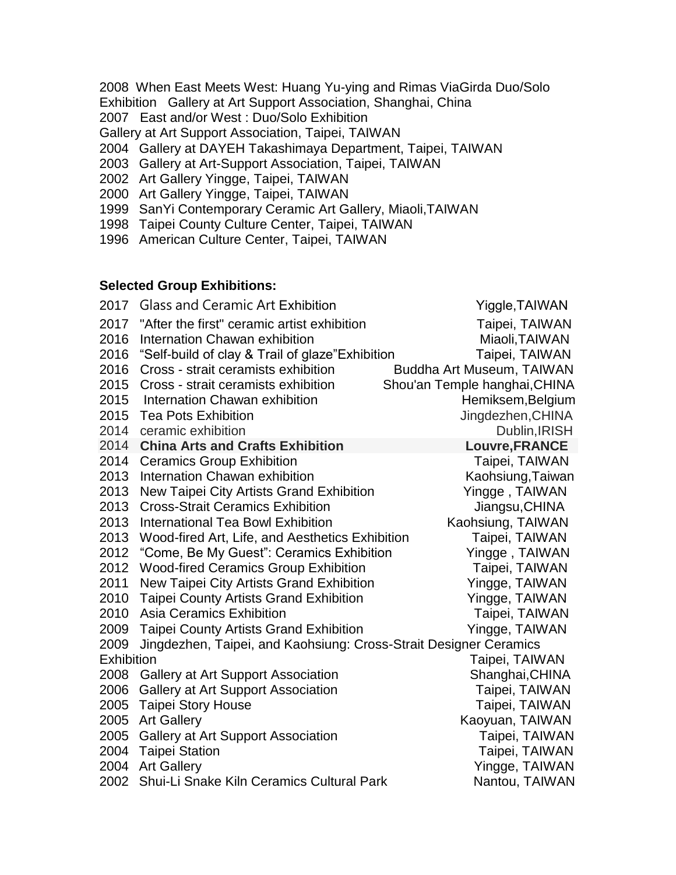- 2008 When East Meets West: Huang Yu-ying and Rimas ViaGirda Duo/Solo Exhibition Gallery at Art Support Association, Shanghai, China
- 2007 East and/or West : Duo/Solo Exhibition
- Gallery at Art Support Association, Taipei, TAIWAN
- 2004 Gallery at DAYEH Takashimaya Department, Taipei, TAIWAN
- 2003 Gallery at Art-Support Association, Taipei, TAIWAN
- 2002 Art Gallery Yingge, Taipei, TAIWAN
- 2000 Art Gallery Yingge, Taipei, TAIWAN
- 1999 SanYi Contemporary Ceramic Art Gallery, Miaoli,TAIWAN
- 1998 Taipei County Culture Center, Taipei, TAIWAN
- 1996 American Culture Center, Taipei, TAIWAN

## **Selected Group Exhibitions:**

| 2017       | <b>Glass and Ceramic Art Exhibition</b>                           | Yiggle, TAIWAN                |
|------------|-------------------------------------------------------------------|-------------------------------|
| 2017       | "After the first" ceramic artist exhibition                       | Taipei, TAIWAN                |
| 2016       | Internation Chawan exhibition                                     | Miaoli, TAIWAN                |
| 2016       | "Self-build of clay & Trail of glaze" Exhibition                  | Taipei, TAIWAN                |
| 2016       | Cross - strait ceramists exhibition                               | Buddha Art Museum, TAIWAN     |
| 2015       | Cross - strait ceramists exhibition                               | Shou'an Temple hanghai, CHINA |
| 2015       | Internation Chawan exhibition                                     | Hemiksem, Belgium             |
| 2015       | <b>Tea Pots Exhibition</b>                                        | Jingdezhen, CHINA             |
| 2014       | ceramic exhibition                                                | Dublin, IRISH                 |
| 2014       | <b>China Arts and Crafts Exhibition</b>                           | Louvre, FRANCE                |
| 2014       | <b>Ceramics Group Exhibition</b>                                  | Taipei, TAIWAN                |
| 2013       | Internation Chawan exhibition                                     | Kaohsiung, Taiwan             |
| 2013       | New Taipei City Artists Grand Exhibition                          | Yingge, TAIWAN                |
| 2013       | <b>Cross-Strait Ceramics Exhibition</b>                           | Jiangsu, CHINA                |
| 2013       | <b>International Tea Bowl Exhibition</b>                          | Kaohsiung, TAIWAN             |
| 2013       | Wood-fired Art, Life, and Aesthetics Exhibition                   | Taipei, TAIWAN                |
| 2012       | "Come, Be My Guest": Ceramics Exhibition                          | Yingge, TAIWAN                |
| 2012       | <b>Wood-fired Ceramics Group Exhibition</b>                       | Taipei, TAIWAN                |
| 2011       | New Taipei City Artists Grand Exhibition                          | Yingge, TAIWAN                |
| 2010       | <b>Taipei County Artists Grand Exhibition</b>                     | Yingge, TAIWAN                |
| 2010       | <b>Asia Ceramics Exhibition</b>                                   | Taipei, TAIWAN                |
| 2009       | <b>Taipei County Artists Grand Exhibition</b>                     | Yingge, TAIWAN                |
| 2009       | Jingdezhen, Taipei, and Kaohsiung: Cross-Strait Designer Ceramics |                               |
| Exhibition |                                                                   | Taipei, TAIWAN                |
| 2008       | <b>Gallery at Art Support Association</b>                         | Shanghai, CHINA               |
| 2006       | Gallery at Art Support Association                                | Taipei, TAIWAN                |
| 2005       | <b>Taipei Story House</b>                                         | Taipei, TAIWAN                |
| 2005       | <b>Art Gallery</b>                                                | Kaoyuan, TAIWAN               |
| 2005       | <b>Gallery at Art Support Association</b>                         | Taipei, TAIWAN                |
| 2004       | <b>Taipei Station</b>                                             | Taipei, TAIWAN                |
| 2004       | <b>Art Gallery</b>                                                | Yingge, TAIWAN                |
| 2002       | Shui-Li Snake Kiln Ceramics Cultural Park                         | Nantou, TAIWAN                |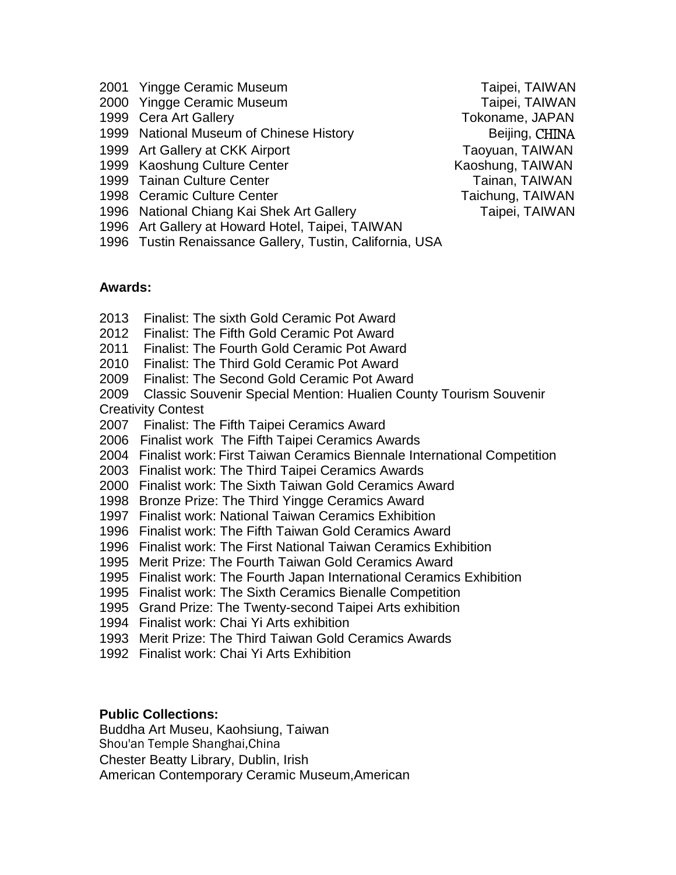- 2001 Yingge Ceramic Museum Taipei, TAIWAN
- 2000 Yingge Ceramic Museum **Taipei**, TAIWAN
- 1999 Cera Art Gallery Tokoname, JAPAN
- 1999 National Museum of Chinese History **Example 20 Fig. 2** Beijing, CHINA
- 1999 Art Gallery at CKK Airport Taoyuan, TAIWAN
- 1999 Kaoshung Culture Center **Kaoshung, TAIWAN**
- 1999 Tainan Culture Center Tainan, TAIWAN
- 1998 Ceramic Culture Center Taichung, TAIWAN
- 1996 National Chiang Kai Shek Art Gallery Taipei, TAIWAN
- 1996 Art Gallery at Howard Hotel, Taipei, TAIWAN
- 1996 Tustin Renaissance Gallery, Tustin, California, USA

**Awards:**

- 2013Finalist: The sixth Gold Ceramic Pot Award
- 2012 Finalist: The Fifth Gold Ceramic Pot Award
- 2011 Finalist: The Fourth Gold Ceramic Pot Award
- 2010 Finalist: The Third Gold Ceramic Pot Award
- 2009 Finalist: The Second Gold Ceramic Pot Award
- 2009 Classic Souvenir Special Mention: Hualien County Tourism Souvenir Creativity Contest
- 2007 Finalist: The Fifth Taipei Ceramics Award
- 2006 Finalist work The Fifth Taipei Ceramics Awards
- 2004 Finalist work: First Taiwan Ceramics Biennale International Competition
- 2003 Finalist work: The Third Taipei Ceramics Awards
- 2000 Finalist work: The Sixth Taiwan Gold Ceramics Award
- 1998 Bronze Prize: The Third Yingge Ceramics Award
- 1997 Finalist work: National Taiwan Ceramics Exhibition
- 1996 Finalist work: The Fifth Taiwan Gold Ceramics Award
- 1996 Finalist work: The First National Taiwan Ceramics Exhibition
- 1995 Merit Prize: The Fourth Taiwan Gold Ceramics Award
- 1995 Finalist work: The Fourth Japan International Ceramics Exhibition
- 1995 Finalist work: The Sixth Ceramics Bienalle Competition
- 1995 Grand Prize: The Twenty-second Taipei Arts exhibition
- 1994 Finalist work: Chai Yi Arts exhibition
- 1993 Merit Prize: The Third Taiwan Gold Ceramics Awards
- 1992 Finalist work: Chai Yi Arts Exhibition

## **Public Collections:**

Buddha Art Museu, Kaohsiung, Taiwan Shou'an Temple Shanghai,China Chester Beatty Library, Dublin, Irish

American Contemporary Ceramic Museum,American